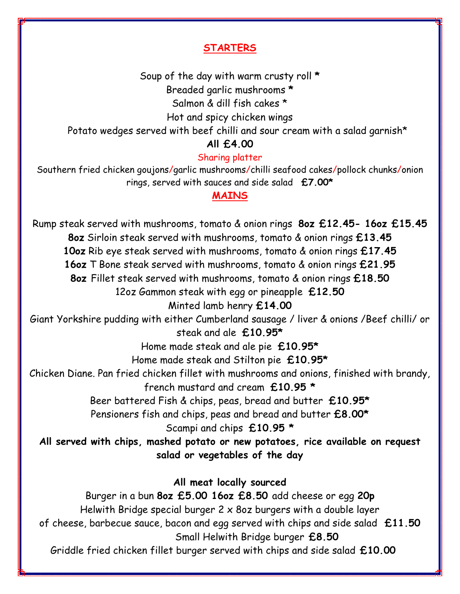## **STARTERS**

Soup of the day with warm crusty roll **\***

Breaded garlic mushrooms **\***

Salmon & dill fish cakes \*

Hot and spicy chicken wings

Potato wedges served with beef chilli and sour cream with a salad garnish\*

**All £4.00**

#### Sharing platter

Southern fried chicken goujons/garlic mushrooms/chilli seafood cakes/pollock chunks/onion rings, served with sauces and side salad **£7.00\***

## **MAINS**

Rump steak served with mushrooms, tomato & onion rings **8oz £12.45- 16oz £15.45 8oz** Sirloin steak served with mushrooms, tomato & onion rings **£13.45 10oz** Rib eye steak served with mushrooms, tomato & onion rings **£17.45 16oz** T Bone steak served with mushrooms, tomato & onion rings **£21.95 8oz** Fillet steak served with mushrooms, tomato & onion rings **£18.50** 12oz Gammon steak with egg or pineapple **£12.50** Minted lamb henry **£14.00** Giant Yorkshire pudding with either Cumberland sausage / liver & onions /Beef chilli/ or steak and ale **£10.95\*** Home made steak and ale pie **£10.95\*** Home made steak and Stilton pie **£10.95\*** Chicken Diane. Pan fried chicken fillet with mushrooms and onions, finished with brandy, french mustard and cream **£10.95 \*** Beer battered Fish & chips, peas, bread and butter **£10.95\*** Pensioners fish and chips, peas and bread and butter **£8.00\*** Scampi and chips **£10.95 \* All served with chips, mashed potato or new potatoes, rice available on request salad or vegetables of the day All meat locally sourced** Burger in a bun **8oz £5.00 16oz £8.50** add cheese or egg **20p** Helwith Bridge special burger 2 x 8oz burgers with a double layer of cheese, barbecue sauce, bacon and egg served with chips and side salad **£11.50** Small Helwith Bridge burger **£8.50** Griddle fried chicken fillet burger served with chips and side salad **£10.00**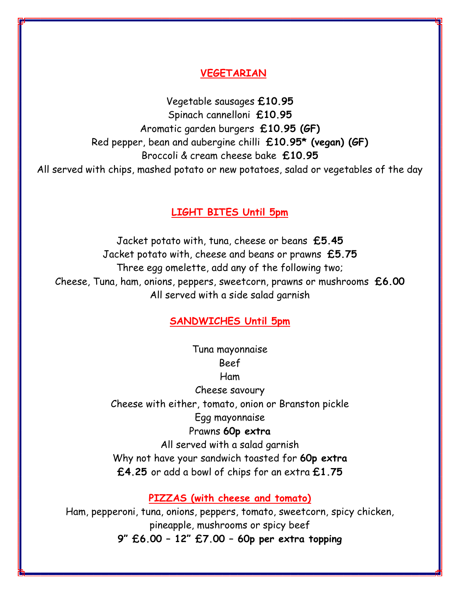### **VEGETARIAN**

Vegetable sausages **£10.95** Spinach cannelloni **£10.95** Aromatic garden burgers **£10.95 (GF)** Red pepper, bean and aubergine chilli **£10.95\* (vegan) (GF)** Broccoli & cream cheese bake **£10.95** All served with chips, mashed potato or new potatoes, salad or vegetables of the day

#### **LIGHT BITES Until 5pm**

Jacket potato with, tuna, cheese or beans **£5.45** Jacket potato with, cheese and beans or prawns **£5.75** Three egg omelette, add any of the following two; Cheese, Tuna, ham, onions, peppers, sweetcorn, prawns or mushrooms **£6.00** All served with a side salad garnish

### **SANDWICHES Until 5pm**

Tuna mayonnaise Beef Ham Cheese savoury Cheese with either, tomato, onion or Branston pickle Egg mayonnaise Prawns **60p extra** All served with a salad garnish Why not have your sandwich toasted for **60p extra £4.25** or add a bowl of chips for an extra **£1.75**

**PIZZAS (with cheese and tomato)**

Ham, pepperoni, tuna, onions, peppers, tomato, sweetcorn, spicy chicken, pineapple, mushrooms or spicy beef **9" £6.00 – 12" £7.00 – 60p per extra topping**